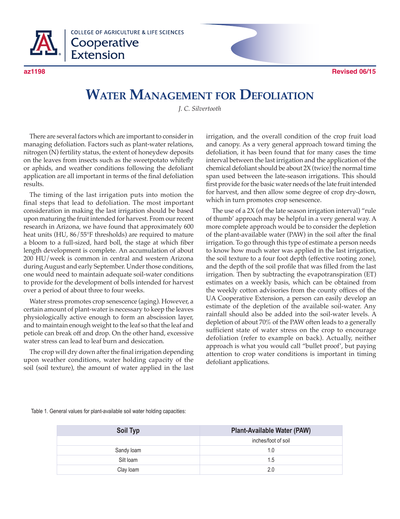

**COLLEGE OF AGRICULTURE & LIFE SCIENCES** Cooperative **Extension** 

**az1198 Revised 06/15**

## **Water Management for Defoliation**

*J. C. Silvertooth*

There are several factors which are important to consider in managing defoliation. Factors such as plant-water relations, nitrogen (N) fertility status, the extent of honeydew deposits on the leaves from insects such as the sweetpotato whitefly or aphids, and weather conditions following the defoliant application are all important in terms of the final defoliation results.

The timing of the last irrigation puts into motion the final steps that lead to defoliation. The most important consideration in making the last irrigation should be based upon maturing the fruit intended for harvest. From our recent research in Arizona, we have found that approximately 600 heat units (HU, 86/55°F thresholds) are required to mature a bloom to a full-sized, hard boll, the stage at which fiber length development is complete. An accumulation of about 200 HU/week is common in central and western Arizona during August and early September. Under those conditions, one would need to maintain adequate soil-water conditions to provide for the development of bolls intended for harvest over a period of about three to four weeks.

Water stress promotes crop senescence (aging). However, a certain amount of plant-water is necessary to keep the leaves physiologically active enough to form an abscission layer, and to maintain enough weight to the leaf so that the leaf and petiole can break off and drop. On the other hand, excessive water stress can lead to leaf burn and desiccation.

The crop will dry down after the final irrigation depending upon weather conditions, water holding capacity of the soil (soil texture), the amount of water applied in the last irrigation, and the overall condition of the crop fruit load and canopy. As a very general approach toward timing the defoliation, it has been found that for many cases the time interval between the last irrigation and the application of the chemical defoliant should be about 2X (twice) the normal time span used between the late-season irrigations. This should first provide for the basic water needs of the late fruit intended for harvest, and then allow some degree of crop dry-down, which in turn promotes crop senescence.

The use of a 2X (of the late season irrigation interval) "rule of thumb' approach may be helpful in a very general way. A more complete approach would be to consider the depletion of the plant-available water (PAW) in the soil after the final irrigation. To go through this type of estimate a person needs to know how much water was applied in the last irrigation, the soil texture to a four foot depth (effective rooting zone), and the depth of the soil profile that was filled from the last irrigation. Then by subtracting the evapotranspiration (ET) estimates on a weekly basis, which can be obtained from the weekly cotton advisories from the county offices of the UA Cooperative Extension, a person can easily develop an estimate of the depletion of the available soil-water. Any rainfall should also be added into the soil-water levels. A depletion of about 70% of the PAW often leads to a generally sufficient state of water stress on the crop to encourage defoliation (refer to example on back). Actually, neither approach is what you would call "bullet proof', but paying attention to crop water conditions is important in timing defoliant applications.

Table 1. General values for plant-available soil water holding capacities:

| Soil Typ   | <b>Plant-Available Water (PAW)</b> |
|------------|------------------------------------|
|            | inches/foot of soil                |
| Sandy loam | 1.0                                |
| Silt loam  | 1.5                                |
| Clay loam  | 2.0                                |